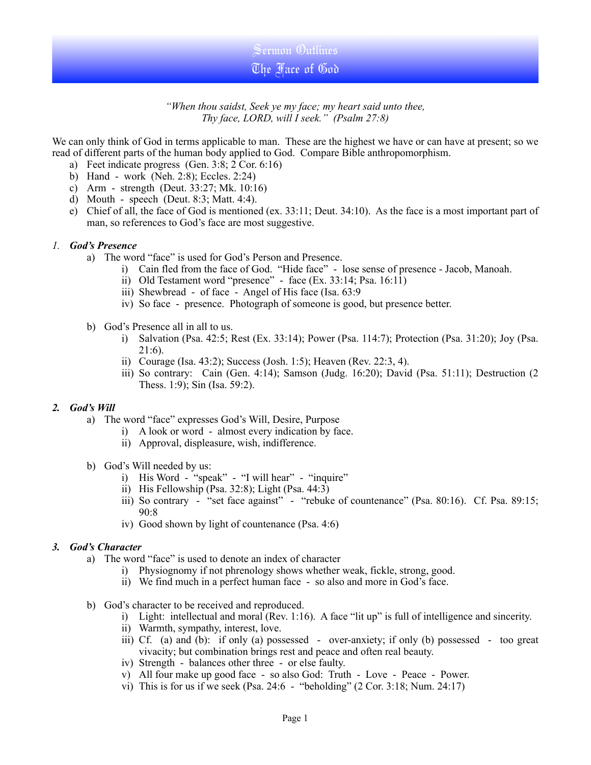Sermon Outlines The Face of God

*"When thou saidst, Seek ye my face; my heart said unto thee, Thy face, LORD, will I seek." (Psalm 27:8)*

We can only think of God in terms applicable to man. These are the highest we have or can have at present; so we read of different parts of the human body applied to God. Compare Bible anthropomorphism.

- a) Feet indicate progress (Gen. 3:8; 2 Cor. 6:16)
- b) Hand work (Neh. 2:8); Eccles. 2:24)
- c) Arm strength (Deut. 33:27; Mk. 10:16)
- d) Mouth speech (Deut. 8:3; Matt. 4:4).
- e) Chief of all, the face of God is mentioned (ex. 33:11; Deut. 34:10). As the face is a most important part of man, so references to God's face are most suggestive.

## *1. God's Presence*

- a) The word "face" is used for God's Person and Presence.
	- i) Cain fled from the face of God. "Hide face" lose sense of presence Jacob, Manoah.
	- ii) Old Testament word "presence" face (Ex. 33:14; Psa. 16:11)
	- iii) Shewbread of face Angel of His face (Isa. 63:9
	- iv) So face presence. Photograph of someone is good, but presence better.
- b) God's Presence all in all to us.
	- i) Salvation (Psa. 42:5; Rest (Ex. 33:14); Power (Psa. 114:7); Protection (Psa. 31:20); Joy (Psa. 21:6).
	- ii) Courage (Isa. 43:2); Success (Josh. 1:5); Heaven (Rev. 22:3, 4).
	- iii) So contrary: Cain (Gen. 4:14); Samson (Judg. 16:20); David (Psa. 51:11); Destruction (2 Thess. 1:9); Sin (Isa. 59:2).

## *2. God's Will*

- a) The word "face" expresses God's Will, Desire, Purpose
	- i) A look or word almost every indication by face.
	- ii) Approval, displeasure, wish, indifference.
- b) God's Will needed by us:
	- i) His Word "speak" "I will hear" "inquire"
	- ii) His Fellowship (Psa. 32:8); Light (Psa. 44:3)
	- iii) So contrary "set face against" "rebuke of countenance" (Psa. 80:16). Cf. Psa. 89:15; 90:8
	- iv) Good shown by light of countenance (Psa. 4:6)

## *3. God's Character*

- a) The word "face" is used to denote an index of character
	- i) Physiognomy if not phrenology shows whether weak, fickle, strong, good.
	- ii) We find much in a perfect human face so also and more in God's face.
- b) God's character to be received and reproduced.
	- i) Light: intellectual and moral (Rev. 1:16). A face "lit up" is full of intelligence and sincerity.
	- ii) Warmth, sympathy, interest, love.
	- iii) Cf. (a) and (b): if only (a) possessed over-anxiety; if only (b) possessed too great vivacity; but combination brings rest and peace and often real beauty.
	- iv) Strength balances other three or else faulty.
	- v) All four make up good face so also God: Truth Love Peace Power.
	- vi) This is for us if we seek (Psa. 24:6 "beholding" (2 Cor. 3:18; Num. 24:17)